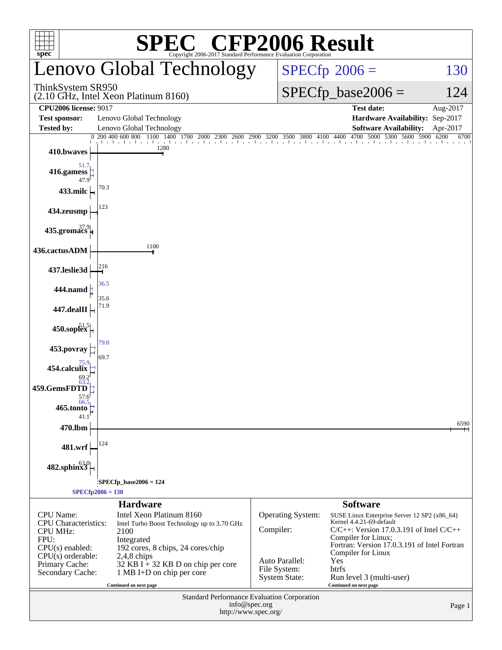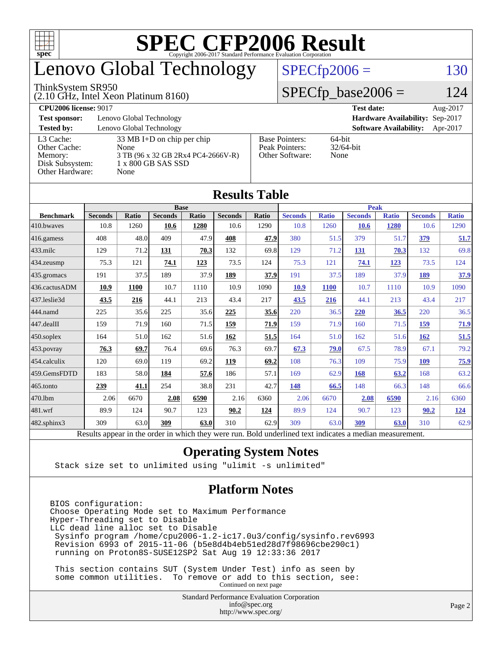

# enovo Global Technology

#### ThinkSystem SR950

(2.10 GHz, Intel Xeon Platinum 8160)

 $SPECTp2006 = 130$ 

### $SPECfp\_base2006 = 124$

**[CPU2006 license:](http://www.spec.org/auto/cpu2006/Docs/result-fields.html#CPU2006license)** 9017 **[Test date:](http://www.spec.org/auto/cpu2006/Docs/result-fields.html#Testdate)** Aug-2017 **[Test sponsor:](http://www.spec.org/auto/cpu2006/Docs/result-fields.html#Testsponsor)** Lenovo Global Technology **[Hardware Availability:](http://www.spec.org/auto/cpu2006/Docs/result-fields.html#HardwareAvailability)** Sep-2017 **[Tested by:](http://www.spec.org/auto/cpu2006/Docs/result-fields.html#Testedby)** Lenovo Global Technology **[Software Availability:](http://www.spec.org/auto/cpu2006/Docs/result-fields.html#SoftwareAvailability)** Apr-2017 [L3 Cache:](http://www.spec.org/auto/cpu2006/Docs/result-fields.html#L3Cache) 33 MB I+D on chip per chip<br>Other Cache: None [Other Cache:](http://www.spec.org/auto/cpu2006/Docs/result-fields.html#OtherCache) [Memory:](http://www.spec.org/auto/cpu2006/Docs/result-fields.html#Memory) 3 TB (96 x 32 GB 2Rx4 PC4-2666V-R) [Disk Subsystem:](http://www.spec.org/auto/cpu2006/Docs/result-fields.html#DiskSubsystem) 1 x 800 GB SAS SSD [Other Hardware:](http://www.spec.org/auto/cpu2006/Docs/result-fields.html#OtherHardware) None [Base Pointers:](http://www.spec.org/auto/cpu2006/Docs/result-fields.html#BasePointers) 64-bit<br>Peak Pointers: 32/64-bit [Peak Pointers:](http://www.spec.org/auto/cpu2006/Docs/result-fields.html#PeakPointers) [Other Software:](http://www.spec.org/auto/cpu2006/Docs/result-fields.html#OtherSoftware) None

**[Results Table](http://www.spec.org/auto/cpu2006/Docs/result-fields.html#ResultsTable)**

| Results Table          |                                                                                                          |              |                |       |                |       |                |              |                |              |                |              |
|------------------------|----------------------------------------------------------------------------------------------------------|--------------|----------------|-------|----------------|-------|----------------|--------------|----------------|--------------|----------------|--------------|
|                        | <b>Base</b>                                                                                              |              |                |       |                |       | <b>Peak</b>    |              |                |              |                |              |
| <b>Benchmark</b>       | <b>Seconds</b>                                                                                           | <b>Ratio</b> | <b>Seconds</b> | Ratio | <b>Seconds</b> | Ratio | <b>Seconds</b> | <b>Ratio</b> | <b>Seconds</b> | <b>Ratio</b> | <b>Seconds</b> | <b>Ratio</b> |
| $410$ .bwayes          | 10.8                                                                                                     | 1260         | 10.6           | 1280  | 10.6           | 1290  | 10.8           | 1260         | <b>10.6</b>    | 1280         | 10.6           | 1290         |
| 416.gamess             | 408                                                                                                      | 48.0         | 409            | 47.9  | 408            | 47.9  | 380            | 51.5         | 379            | 51.7         | 379            | 51.7         |
| $ 433$ .milc           | 129                                                                                                      | 71.2         | 131            | 70.3  | 132            | 69.8  | 129            | 71.2         | 131            | 70.3         | 132            | 69.8         |
| $ 434$ . zeusmp        | 75.3                                                                                                     | 121          | 74.1           | 123   | 73.5           | 124   | 75.3           | 121          | 74.1           | 123          | 73.5           | 124          |
| $435$ .gromacs         | 191                                                                                                      | 37.5         | 189            | 37.9  | 189            | 37.9  | 191            | 37.5         | 189            | 37.9         | <b>189</b>     | 37.9         |
| 436.cactusADM          | 10.9                                                                                                     | 1100         | 10.7           | 1110  | 10.9           | 1090  | 10.9           | <b>1100</b>  | 10.7           | 1110         | 10.9           | 1090         |
| 437.leslie3d           | 43.5                                                                                                     | 216          | 44.1           | 213   | 43.4           | 217   | 43.5           | 216          | 44.1           | 213          | 43.4           | 217          |
| 444.namd               | 225                                                                                                      | 35.6         | 225            | 35.6  | 225            | 35.6  | 220            | 36.5         | 220            | 36.5         | 220            | 36.5         |
| $ 447 \text{.}$ dealII | 159                                                                                                      | 71.9         | 160            | 71.5  | 159            | 71.9  | 159            | 71.9         | 160            | 71.5         | 159            | 71.9         |
| $450$ .soplex          | 164                                                                                                      | 51.0         | 162            | 51.6  | 162            | 51.5  | 164            | 51.0         | 162            | 51.6         | 162            | 51.5         |
| $453$ .povray          | 76.3                                                                                                     | 69.7         | 76.4           | 69.6  | 76.3           | 69.7  | 67.3           | 79.0         | 67.5           | 78.9         | 67.1           | 79.2         |
| $454$ .calculix        | 120                                                                                                      | 69.0         | 119            | 69.2  | 119            | 69.2  | 108            | 76.3         | 109            | 75.9         | 109            | <b>75.9</b>  |
| 459.GemsFDTD           | 183                                                                                                      | 58.0         | 184            | 57.6  | 186            | 57.1  | 169            | 62.9         | 168            | 63.2         | 168            | 63.2         |
| 465.tonto              | 239                                                                                                      | 41.1         | 254            | 38.8  | 231            | 42.7  | 148            | 66.5         | 148            | 66.3         | 148            | 66.6         |
| 470.1bm                | 2.06                                                                                                     | 6670         | 2.08           | 6590  | 2.16           | 6360  | 2.06           | 6670         | 2.08           | 6590         | 2.16           | 6360         |
| 481.wrf                | 89.9                                                                                                     | 124          | 90.7           | 123   | 90.2           | 124   | 89.9           | 124          | 90.7           | 123          | 90.2           | <u>124</u>   |
| 482.sphinx3            | 309                                                                                                      | 63.0         | 309            | 63.0  | 310            | 62.9  | 309            | 63.0         | 309            | 63.0         | 310            | 62.9         |
|                        | Results appear in the order in which they were run. Bold underlined text indicates a median measurement. |              |                |       |                |       |                |              |                |              |                |              |

### **[Operating System Notes](http://www.spec.org/auto/cpu2006/Docs/result-fields.html#OperatingSystemNotes)**

Stack size set to unlimited using "ulimit -s unlimited"

### **[Platform Notes](http://www.spec.org/auto/cpu2006/Docs/result-fields.html#PlatformNotes)**

BIOS configuration: Choose Operating Mode set to Maximum Performance Hyper-Threading set to Disable LLC dead line alloc set to Disable Sysinfo program /home/cpu2006-1.2-ic17.0u3/config/sysinfo.rev6993 Revision 6993 of 2015-11-06 (b5e8d4b4eb51ed28d7f98696cbe290c1) running on Proton8S-SUSE12SP2 Sat Aug 19 12:33:36 2017

 This section contains SUT (System Under Test) info as seen by some common utilities. To remove or add to this section, see: Continued on next page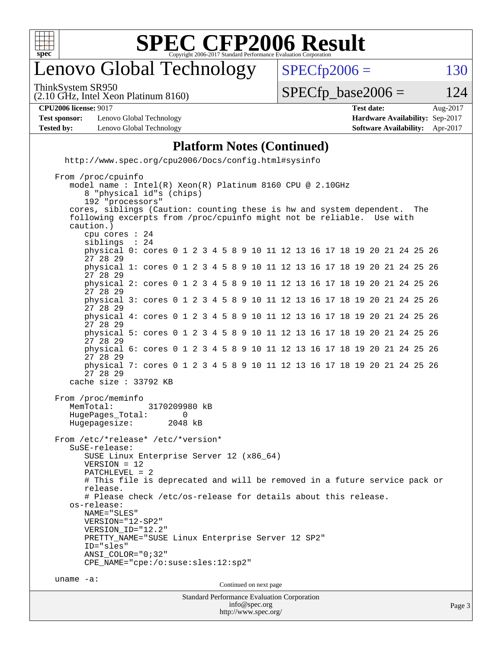

# enovo Global Technology

 $SPECTp2006 = 130$ 

ThinkSystem SR950

(2.10 GHz, Intel Xeon Platinum 8160)

 $SPECTp\_base2006 = 124$ 

**[CPU2006 license:](http://www.spec.org/auto/cpu2006/Docs/result-fields.html#CPU2006license)** 9017 **[Test date:](http://www.spec.org/auto/cpu2006/Docs/result-fields.html#Testdate)** Aug-2017

**[Test sponsor:](http://www.spec.org/auto/cpu2006/Docs/result-fields.html#Testsponsor)** Lenovo Global Technology **[Hardware Availability:](http://www.spec.org/auto/cpu2006/Docs/result-fields.html#HardwareAvailability)** Sep-2017 **[Tested by:](http://www.spec.org/auto/cpu2006/Docs/result-fields.html#Testedby)** Lenovo Global Technology **[Software Availability:](http://www.spec.org/auto/cpu2006/Docs/result-fields.html#SoftwareAvailability)** Apr-2017

## **[Platform Notes \(Continued\)](http://www.spec.org/auto/cpu2006/Docs/result-fields.html#PlatformNotes)**

<http://www.spec.org/cpu2006/Docs/config.html#sysinfo>

Standard Performance Evaluation Corporation [info@spec.org](mailto:info@spec.org) From /proc/cpuinfo model name : Intel(R) Xeon(R) Platinum 8160 CPU @ 2.10GHz 8 "physical id"s (chips) 192 "processors" cores, siblings (Caution: counting these is hw and system dependent. The following excerpts from /proc/cpuinfo might not be reliable. Use with caution.) cpu cores : 24 siblings physical 0: cores 0 1 2 3 4 5 8 9 10 11 12 13 16 17 18 19 20 21 24 25 26 27 28 29 physical 1: cores 0 1 2 3 4 5 8 9 10 11 12 13 16 17 18 19 20 21 24 25 26 27 28 29 physical 2: cores 0 1 2 3 4 5 8 9 10 11 12 13 16 17 18 19 20 21 24 25 26 27 28 29 physical 3: cores 0 1 2 3 4 5 8 9 10 11 12 13 16 17 18 19 20 21 24 25 26 27 28 29 physical 4: cores 0 1 2 3 4 5 8 9 10 11 12 13 16 17 18 19 20 21 24 25 26 27 28 29 physical 5: cores 0 1 2 3 4 5 8 9 10 11 12 13 16 17 18 19 20 21 24 25 26 27 28 29 physical 6: cores 0 1 2 3 4 5 8 9 10 11 12 13 16 17 18 19 20 21 24 25 26 27 28 29 physical 7: cores 0 1 2 3 4 5 8 9 10 11 12 13 16 17 18 19 20 21 24 25 26 27 28 29 cache size : 33792 KB From /proc/meminfo MemTotal: 3170209980 kB HugePages\_Total: 0<br>Hugepagesize: 2048 kB Hugepagesize: From /etc/\*release\* /etc/\*version\* SuSE-release: SUSE Linux Enterprise Server 12 (x86\_64) VERSION = 12 PATCHLEVEL = 2 # This file is deprecated and will be removed in a future service pack or release. # Please check /etc/os-release for details about this release. os-release: NAME="SLES" VERSION="12-SP2" VERSION\_ID="12.2" PRETTY\_NAME="SUSE Linux Enterprise Server 12 SP2" ID="sles" ANSI\_COLOR="0;32" CPE\_NAME="cpe:/o:suse:sles:12:sp2" uname -a: Continued on next page

<http://www.spec.org/>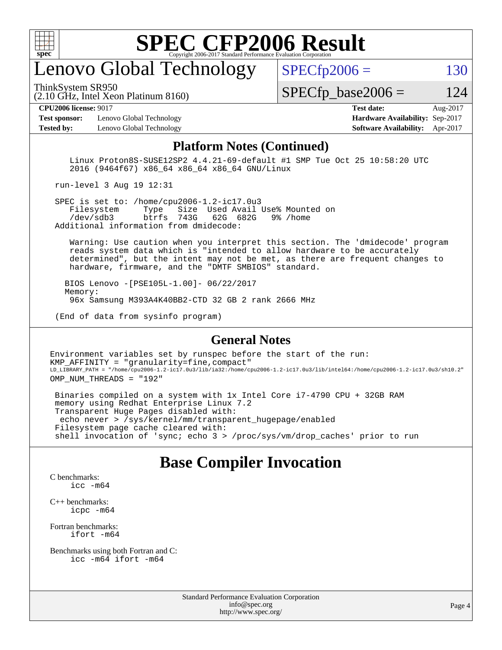

# enovo Global Technology

ThinkSystem SR950

 $SPECTp2006 = 130$ 

(2.10 GHz, Intel Xeon Platinum 8160)

 $SPECTp\_base2006 = 124$ 

**[Test sponsor:](http://www.spec.org/auto/cpu2006/Docs/result-fields.html#Testsponsor)** Lenovo Global Technology **[Hardware Availability:](http://www.spec.org/auto/cpu2006/Docs/result-fields.html#HardwareAvailability)** Sep-2017 **[Tested by:](http://www.spec.org/auto/cpu2006/Docs/result-fields.html#Testedby)** Lenovo Global Technology **[Software Availability:](http://www.spec.org/auto/cpu2006/Docs/result-fields.html#SoftwareAvailability)** Apr-2017

**[CPU2006 license:](http://www.spec.org/auto/cpu2006/Docs/result-fields.html#CPU2006license)** 9017 **[Test date:](http://www.spec.org/auto/cpu2006/Docs/result-fields.html#Testdate)** Aug-2017

#### **[Platform Notes \(Continued\)](http://www.spec.org/auto/cpu2006/Docs/result-fields.html#PlatformNotes)**

 Linux Proton8S-SUSE12SP2 4.4.21-69-default #1 SMP Tue Oct 25 10:58:20 UTC 2016 (9464f67) x86\_64 x86\_64 x86\_64 GNU/Linux

run-level 3 Aug 19 12:31

SPEC is set to: /home/cpu2006-1.2-ic17.0u3<br>Filesystem Type Size Used Avail Type Size Used Avail Use% Mounted on /dev/sdb3 btrfs 743G 62G 682G 9% /home Additional information from dmidecode:

 Warning: Use caution when you interpret this section. The 'dmidecode' program reads system data which is "intended to allow hardware to be accurately determined", but the intent may not be met, as there are frequent changes to hardware, firmware, and the "DMTF SMBIOS" standard.

 BIOS Lenovo -[PSE105L-1.00]- 06/22/2017 Memory: 96x Samsung M393A4K40BB2-CTD 32 GB 2 rank 2666 MHz

(End of data from sysinfo program)

### **[General Notes](http://www.spec.org/auto/cpu2006/Docs/result-fields.html#GeneralNotes)**

Environment variables set by runspec before the start of the run: KMP AFFINITY = "granularity=fine, compact" LD\_LIBRARY\_PATH = "/home/cpu2006-1.2-ic17.0u3/lib/ia32:/home/cpu2006-1.2-ic17.0u3/lib/intel64:/home/cpu2006-1.2-ic17.0u3/sh10.2" OMP\_NUM\_THREADS = "192"

 Binaries compiled on a system with 1x Intel Core i7-4790 CPU + 32GB RAM memory using Redhat Enterprise Linux 7.2 Transparent Huge Pages disabled with: echo never > /sys/kernel/mm/transparent\_hugepage/enabled Filesystem page cache cleared with: shell invocation of 'sync; echo 3 > /proc/sys/vm/drop\_caches' prior to run

### **[Base Compiler Invocation](http://www.spec.org/auto/cpu2006/Docs/result-fields.html#BaseCompilerInvocation)**

[C benchmarks](http://www.spec.org/auto/cpu2006/Docs/result-fields.html#Cbenchmarks): [icc -m64](http://www.spec.org/cpu2006/results/res2017q4/cpu2006-20170917-49374.flags.html#user_CCbase_intel_icc_64bit_bda6cc9af1fdbb0edc3795bac97ada53)

[C++ benchmarks:](http://www.spec.org/auto/cpu2006/Docs/result-fields.html#CXXbenchmarks) [icpc -m64](http://www.spec.org/cpu2006/results/res2017q4/cpu2006-20170917-49374.flags.html#user_CXXbase_intel_icpc_64bit_fc66a5337ce925472a5c54ad6a0de310)

[Fortran benchmarks](http://www.spec.org/auto/cpu2006/Docs/result-fields.html#Fortranbenchmarks): [ifort -m64](http://www.spec.org/cpu2006/results/res2017q4/cpu2006-20170917-49374.flags.html#user_FCbase_intel_ifort_64bit_ee9d0fb25645d0210d97eb0527dcc06e)

[Benchmarks using both Fortran and C](http://www.spec.org/auto/cpu2006/Docs/result-fields.html#BenchmarksusingbothFortranandC): [icc -m64](http://www.spec.org/cpu2006/results/res2017q4/cpu2006-20170917-49374.flags.html#user_CC_FCbase_intel_icc_64bit_bda6cc9af1fdbb0edc3795bac97ada53) [ifort -m64](http://www.spec.org/cpu2006/results/res2017q4/cpu2006-20170917-49374.flags.html#user_CC_FCbase_intel_ifort_64bit_ee9d0fb25645d0210d97eb0527dcc06e)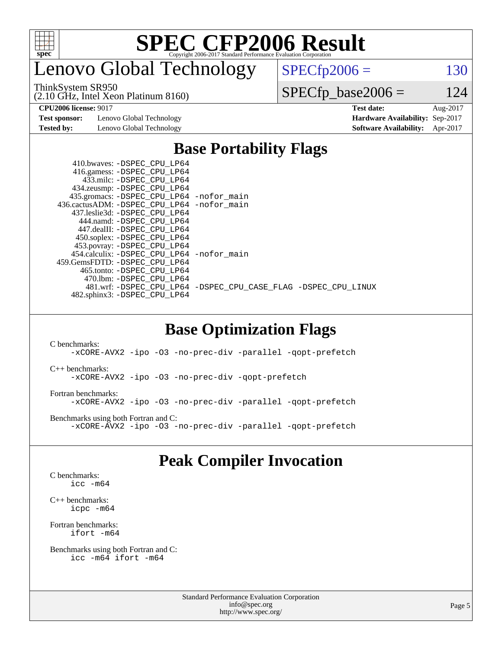

# enovo Global Technology

ThinkSystem SR950

(2.10 GHz, Intel Xeon Platinum 8160)

 $SPECfp2006 = 130$  $SPECfp2006 = 130$ 

 $SPECfp\_base2006 = 124$ 

**[Test sponsor:](http://www.spec.org/auto/cpu2006/Docs/result-fields.html#Testsponsor)** Lenovo Global Technology **[Hardware Availability:](http://www.spec.org/auto/cpu2006/Docs/result-fields.html#HardwareAvailability)** Sep-2017

**[CPU2006 license:](http://www.spec.org/auto/cpu2006/Docs/result-fields.html#CPU2006license)** 9017 **[Test date:](http://www.spec.org/auto/cpu2006/Docs/result-fields.html#Testdate)** Aug-2017 **[Tested by:](http://www.spec.org/auto/cpu2006/Docs/result-fields.html#Testedby)** Lenovo Global Technology **[Software Availability:](http://www.spec.org/auto/cpu2006/Docs/result-fields.html#SoftwareAvailability)** Apr-2017

## **[Base Portability Flags](http://www.spec.org/auto/cpu2006/Docs/result-fields.html#BasePortabilityFlags)**

| 410.bwaves: -DSPEC CPU LP64                  |                                                                |
|----------------------------------------------|----------------------------------------------------------------|
| 416.gamess: -DSPEC_CPU_LP64                  |                                                                |
| 433.milc: -DSPEC CPU LP64                    |                                                                |
| 434.zeusmp: - DSPEC_CPU_LP64                 |                                                                |
| 435.gromacs: -DSPEC_CPU_LP64 -nofor_main     |                                                                |
| 436.cactusADM: - DSPEC CPU LP64 - nofor main |                                                                |
| 437.leslie3d: -DSPEC CPU LP64                |                                                                |
| 444.namd: -DSPEC CPU LP64                    |                                                                |
| 447.dealII: -DSPEC_CPU LP64                  |                                                                |
| 450.soplex: -DSPEC_CPU_LP64                  |                                                                |
| 453.povray: -DSPEC_CPU_LP64                  |                                                                |
| 454.calculix: - DSPEC CPU LP64 - nofor main  |                                                                |
| 459. GemsFDTD: - DSPEC CPU LP64              |                                                                |
| 465.tonto: - DSPEC CPU LP64                  |                                                                |
| 470.1bm: - DSPEC CPU LP64                    |                                                                |
|                                              | 481.wrf: -DSPEC CPU LP64 -DSPEC CPU CASE FLAG -DSPEC CPU LINUX |
| 482.sphinx3: -DSPEC_CPU_LP64                 |                                                                |
|                                              |                                                                |

### **[Base Optimization Flags](http://www.spec.org/auto/cpu2006/Docs/result-fields.html#BaseOptimizationFlags)**

[C benchmarks](http://www.spec.org/auto/cpu2006/Docs/result-fields.html#Cbenchmarks): [-xCORE-AVX2](http://www.spec.org/cpu2006/results/res2017q4/cpu2006-20170917-49374.flags.html#user_CCbase_f-xCORE-AVX2) [-ipo](http://www.spec.org/cpu2006/results/res2017q4/cpu2006-20170917-49374.flags.html#user_CCbase_f-ipo) [-O3](http://www.spec.org/cpu2006/results/res2017q4/cpu2006-20170917-49374.flags.html#user_CCbase_f-O3) [-no-prec-div](http://www.spec.org/cpu2006/results/res2017q4/cpu2006-20170917-49374.flags.html#user_CCbase_f-no-prec-div) [-parallel](http://www.spec.org/cpu2006/results/res2017q4/cpu2006-20170917-49374.flags.html#user_CCbase_f-parallel) [-qopt-prefetch](http://www.spec.org/cpu2006/results/res2017q4/cpu2006-20170917-49374.flags.html#user_CCbase_f-qopt-prefetch) [C++ benchmarks:](http://www.spec.org/auto/cpu2006/Docs/result-fields.html#CXXbenchmarks) [-xCORE-AVX2](http://www.spec.org/cpu2006/results/res2017q4/cpu2006-20170917-49374.flags.html#user_CXXbase_f-xCORE-AVX2) [-ipo](http://www.spec.org/cpu2006/results/res2017q4/cpu2006-20170917-49374.flags.html#user_CXXbase_f-ipo) [-O3](http://www.spec.org/cpu2006/results/res2017q4/cpu2006-20170917-49374.flags.html#user_CXXbase_f-O3) [-no-prec-div](http://www.spec.org/cpu2006/results/res2017q4/cpu2006-20170917-49374.flags.html#user_CXXbase_f-no-prec-div) [-qopt-prefetch](http://www.spec.org/cpu2006/results/res2017q4/cpu2006-20170917-49374.flags.html#user_CXXbase_f-qopt-prefetch) [Fortran benchmarks](http://www.spec.org/auto/cpu2006/Docs/result-fields.html#Fortranbenchmarks): [-xCORE-AVX2](http://www.spec.org/cpu2006/results/res2017q4/cpu2006-20170917-49374.flags.html#user_FCbase_f-xCORE-AVX2) [-ipo](http://www.spec.org/cpu2006/results/res2017q4/cpu2006-20170917-49374.flags.html#user_FCbase_f-ipo) [-O3](http://www.spec.org/cpu2006/results/res2017q4/cpu2006-20170917-49374.flags.html#user_FCbase_f-O3) [-no-prec-div](http://www.spec.org/cpu2006/results/res2017q4/cpu2006-20170917-49374.flags.html#user_FCbase_f-no-prec-div) [-parallel](http://www.spec.org/cpu2006/results/res2017q4/cpu2006-20170917-49374.flags.html#user_FCbase_f-parallel) [-qopt-prefetch](http://www.spec.org/cpu2006/results/res2017q4/cpu2006-20170917-49374.flags.html#user_FCbase_f-qopt-prefetch) [Benchmarks using both Fortran and C](http://www.spec.org/auto/cpu2006/Docs/result-fields.html#BenchmarksusingbothFortranandC): [-xCORE-AVX2](http://www.spec.org/cpu2006/results/res2017q4/cpu2006-20170917-49374.flags.html#user_CC_FCbase_f-xCORE-AVX2) [-ipo](http://www.spec.org/cpu2006/results/res2017q4/cpu2006-20170917-49374.flags.html#user_CC_FCbase_f-ipo) [-O3](http://www.spec.org/cpu2006/results/res2017q4/cpu2006-20170917-49374.flags.html#user_CC_FCbase_f-O3) [-no-prec-div](http://www.spec.org/cpu2006/results/res2017q4/cpu2006-20170917-49374.flags.html#user_CC_FCbase_f-no-prec-div) [-parallel](http://www.spec.org/cpu2006/results/res2017q4/cpu2006-20170917-49374.flags.html#user_CC_FCbase_f-parallel) [-qopt-prefetch](http://www.spec.org/cpu2006/results/res2017q4/cpu2006-20170917-49374.flags.html#user_CC_FCbase_f-qopt-prefetch)

## **[Peak Compiler Invocation](http://www.spec.org/auto/cpu2006/Docs/result-fields.html#PeakCompilerInvocation)**

[C benchmarks](http://www.spec.org/auto/cpu2006/Docs/result-fields.html#Cbenchmarks): [icc -m64](http://www.spec.org/cpu2006/results/res2017q4/cpu2006-20170917-49374.flags.html#user_CCpeak_intel_icc_64bit_bda6cc9af1fdbb0edc3795bac97ada53)

[C++ benchmarks:](http://www.spec.org/auto/cpu2006/Docs/result-fields.html#CXXbenchmarks) [icpc -m64](http://www.spec.org/cpu2006/results/res2017q4/cpu2006-20170917-49374.flags.html#user_CXXpeak_intel_icpc_64bit_fc66a5337ce925472a5c54ad6a0de310)

[Fortran benchmarks](http://www.spec.org/auto/cpu2006/Docs/result-fields.html#Fortranbenchmarks): [ifort -m64](http://www.spec.org/cpu2006/results/res2017q4/cpu2006-20170917-49374.flags.html#user_FCpeak_intel_ifort_64bit_ee9d0fb25645d0210d97eb0527dcc06e)

[Benchmarks using both Fortran and C](http://www.spec.org/auto/cpu2006/Docs/result-fields.html#BenchmarksusingbothFortranandC): [icc -m64](http://www.spec.org/cpu2006/results/res2017q4/cpu2006-20170917-49374.flags.html#user_CC_FCpeak_intel_icc_64bit_bda6cc9af1fdbb0edc3795bac97ada53) [ifort -m64](http://www.spec.org/cpu2006/results/res2017q4/cpu2006-20170917-49374.flags.html#user_CC_FCpeak_intel_ifort_64bit_ee9d0fb25645d0210d97eb0527dcc06e)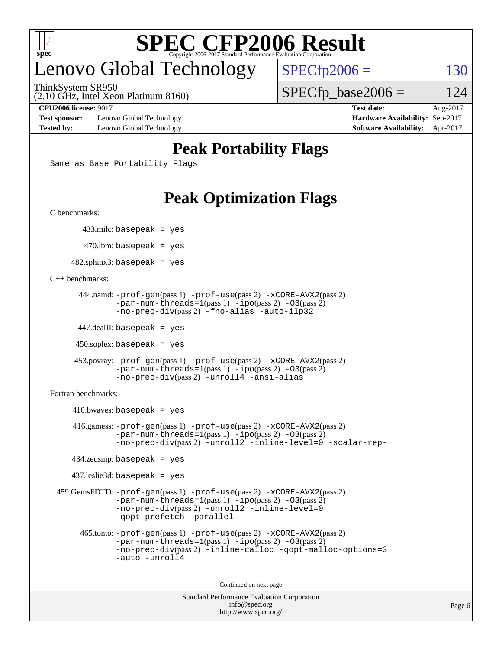

# enovo Global Technology

ThinkSystem SR950

 $SPECTp2006 = 130$ 

(2.10 GHz, Intel Xeon Platinum 8160)

**[Test sponsor:](http://www.spec.org/auto/cpu2006/Docs/result-fields.html#Testsponsor)** Lenovo Global Technology **[Hardware Availability:](http://www.spec.org/auto/cpu2006/Docs/result-fields.html#HardwareAvailability)** Sep-2017 **[Tested by:](http://www.spec.org/auto/cpu2006/Docs/result-fields.html#Testedby)** Lenovo Global Technology **[Software Availability:](http://www.spec.org/auto/cpu2006/Docs/result-fields.html#SoftwareAvailability)** Apr-2017

 $SPECTp\_base2006 = 124$ **[CPU2006 license:](http://www.spec.org/auto/cpu2006/Docs/result-fields.html#CPU2006license)** 9017 **[Test date:](http://www.spec.org/auto/cpu2006/Docs/result-fields.html#Testdate)** Aug-2017

## **[Peak Portability Flags](http://www.spec.org/auto/cpu2006/Docs/result-fields.html#PeakPortabilityFlags)**

Same as Base Portability Flags

# **[Peak Optimization Flags](http://www.spec.org/auto/cpu2006/Docs/result-fields.html#PeakOptimizationFlags)**

[C benchmarks](http://www.spec.org/auto/cpu2006/Docs/result-fields.html#Cbenchmarks):

433.milc: basepeak = yes

 $470.$ lbm: basepeak = yes

 $482$ .sphinx3: basepeak = yes

#### [C++ benchmarks:](http://www.spec.org/auto/cpu2006/Docs/result-fields.html#CXXbenchmarks)

```
 444.namd: -prof-gen(pass 1) -prof-use(pass 2) -xCORE-AVX2(pass 2)
-par-num-threads=1(pass 1) -ipo(pass 2) -O3(pass 2)
-no-prec-div(pass 2) -fno-alias -auto-ilp32
```
447.dealII: basepeak = yes

 $450$ .soplex: basepeak = yes

```
 453.povray: -prof-gen(pass 1) -prof-use(pass 2) -xCORE-AVX2(pass 2)
 -par-num-threads=1-ipo-O3(pass 2)-no-prec-div(pass 2) -unroll4 -ansi-alias
```
[Fortran benchmarks](http://www.spec.org/auto/cpu2006/Docs/result-fields.html#Fortranbenchmarks):

 $410.bwaves: basepeak = yes$  416.gamess: [-prof-gen](http://www.spec.org/cpu2006/results/res2017q4/cpu2006-20170917-49374.flags.html#user_peakPASS1_FFLAGSPASS1_LDFLAGS416_gamess_prof_gen_e43856698f6ca7b7e442dfd80e94a8fc)(pass 1) [-prof-use](http://www.spec.org/cpu2006/results/res2017q4/cpu2006-20170917-49374.flags.html#user_peakPASS2_FFLAGSPASS2_LDFLAGS416_gamess_prof_use_bccf7792157ff70d64e32fe3e1250b55)(pass 2) [-xCORE-AVX2](http://www.spec.org/cpu2006/results/res2017q4/cpu2006-20170917-49374.flags.html#user_peakPASS2_FFLAGSPASS2_LDFLAGS416_gamess_f-xCORE-AVX2)(pass 2)  $-par-num-threads=1(pass 1) -ipo(pass 2) -O3(pass 2)$  $-par-num-threads=1(pass 1) -ipo(pass 2) -O3(pass 2)$  $-par-num-threads=1(pass 1) -ipo(pass 2) -O3(pass 2)$  $-par-num-threads=1(pass 1) -ipo(pass 2) -O3(pass 2)$  $-par-num-threads=1(pass 1) -ipo(pass 2) -O3(pass 2)$  $-par-num-threads=1(pass 1) -ipo(pass 2) -O3(pass 2)$ [-no-prec-div](http://www.spec.org/cpu2006/results/res2017q4/cpu2006-20170917-49374.flags.html#user_peakPASS2_FFLAGSPASS2_LDFLAGS416_gamess_f-no-prec-div)(pass 2) [-unroll2](http://www.spec.org/cpu2006/results/res2017q4/cpu2006-20170917-49374.flags.html#user_peakOPTIMIZE416_gamess_f-unroll_784dae83bebfb236979b41d2422d7ec2) [-inline-level=0](http://www.spec.org/cpu2006/results/res2017q4/cpu2006-20170917-49374.flags.html#user_peakOPTIMIZE416_gamess_f-inline-level_318d07a09274ad25e8d15dbfaa68ba50) [-scalar-rep-](http://www.spec.org/cpu2006/results/res2017q4/cpu2006-20170917-49374.flags.html#user_peakOPTIMIZE416_gamess_f-disablescalarrep_abbcad04450fb118e4809c81d83c8a1d) 434.zeusmp: basepeak = yes 437.leslie3d: basepeak = yes 459.GemsFDTD: [-prof-gen](http://www.spec.org/cpu2006/results/res2017q4/cpu2006-20170917-49374.flags.html#user_peakPASS1_FFLAGSPASS1_LDFLAGS459_GemsFDTD_prof_gen_e43856698f6ca7b7e442dfd80e94a8fc)(pass 1) [-prof-use](http://www.spec.org/cpu2006/results/res2017q4/cpu2006-20170917-49374.flags.html#user_peakPASS2_FFLAGSPASS2_LDFLAGS459_GemsFDTD_prof_use_bccf7792157ff70d64e32fe3e1250b55)(pass 2) [-xCORE-AVX2](http://www.spec.org/cpu2006/results/res2017q4/cpu2006-20170917-49374.flags.html#user_peakPASS2_FFLAGSPASS2_LDFLAGS459_GemsFDTD_f-xCORE-AVX2)(pass 2)  $-par-num-threads=1(pass 1) -ipo(pass 2) -O3(pass 2)$  $-par-num-threads=1(pass 1) -ipo(pass 2) -O3(pass 2)$  $-par-num-threads=1(pass 1) -ipo(pass 2) -O3(pass 2)$  $-par-num-threads=1(pass 1) -ipo(pass 2) -O3(pass 2)$  $-par-num-threads=1(pass 1) -ipo(pass 2) -O3(pass 2)$  $-par-num-threads=1(pass 1) -ipo(pass 2) -O3(pass 2)$ [-no-prec-div](http://www.spec.org/cpu2006/results/res2017q4/cpu2006-20170917-49374.flags.html#user_peakPASS2_FFLAGSPASS2_LDFLAGS459_GemsFDTD_f-no-prec-div)(pass 2) [-unroll2](http://www.spec.org/cpu2006/results/res2017q4/cpu2006-20170917-49374.flags.html#user_peakOPTIMIZE459_GemsFDTD_f-unroll_784dae83bebfb236979b41d2422d7ec2) [-inline-level=0](http://www.spec.org/cpu2006/results/res2017q4/cpu2006-20170917-49374.flags.html#user_peakOPTIMIZE459_GemsFDTD_f-inline-level_318d07a09274ad25e8d15dbfaa68ba50) [-qopt-prefetch](http://www.spec.org/cpu2006/results/res2017q4/cpu2006-20170917-49374.flags.html#user_peakOPTIMIZE459_GemsFDTD_f-qopt-prefetch) [-parallel](http://www.spec.org/cpu2006/results/res2017q4/cpu2006-20170917-49374.flags.html#user_peakOPTIMIZE459_GemsFDTD_f-parallel) 465.tonto: [-prof-gen](http://www.spec.org/cpu2006/results/res2017q4/cpu2006-20170917-49374.flags.html#user_peakPASS1_FFLAGSPASS1_LDFLAGS465_tonto_prof_gen_e43856698f6ca7b7e442dfd80e94a8fc)(pass 1) [-prof-use](http://www.spec.org/cpu2006/results/res2017q4/cpu2006-20170917-49374.flags.html#user_peakPASS2_FFLAGSPASS2_LDFLAGS465_tonto_prof_use_bccf7792157ff70d64e32fe3e1250b55)(pass 2) [-xCORE-AVX2](http://www.spec.org/cpu2006/results/res2017q4/cpu2006-20170917-49374.flags.html#user_peakPASS2_FFLAGSPASS2_LDFLAGS465_tonto_f-xCORE-AVX2)(pass 2) [-par-num-threads=1](http://www.spec.org/cpu2006/results/res2017q4/cpu2006-20170917-49374.flags.html#user_peakPASS1_FFLAGSPASS1_LDFLAGS465_tonto_par_num_threads_786a6ff141b4e9e90432e998842df6c2)(pass 1) [-ipo](http://www.spec.org/cpu2006/results/res2017q4/cpu2006-20170917-49374.flags.html#user_peakPASS2_FFLAGSPASS2_LDFLAGS465_tonto_f-ipo)(pass 2) [-O3](http://www.spec.org/cpu2006/results/res2017q4/cpu2006-20170917-49374.flags.html#user_peakPASS2_FFLAGSPASS2_LDFLAGS465_tonto_f-O3)(pass 2) [-no-prec-div](http://www.spec.org/cpu2006/results/res2017q4/cpu2006-20170917-49374.flags.html#user_peakPASS2_FFLAGSPASS2_LDFLAGS465_tonto_f-no-prec-div)(pass 2) [-inline-calloc](http://www.spec.org/cpu2006/results/res2017q4/cpu2006-20170917-49374.flags.html#user_peakOPTIMIZE465_tonto_f-inline-calloc) [-qopt-malloc-options=3](http://www.spec.org/cpu2006/results/res2017q4/cpu2006-20170917-49374.flags.html#user_peakOPTIMIZE465_tonto_f-qopt-malloc-options_0fcb435012e78f27d57f473818e45fe4) [-auto](http://www.spec.org/cpu2006/results/res2017q4/cpu2006-20170917-49374.flags.html#user_peakOPTIMIZE465_tonto_f-auto) [-unroll4](http://www.spec.org/cpu2006/results/res2017q4/cpu2006-20170917-49374.flags.html#user_peakOPTIMIZE465_tonto_f-unroll_4e5e4ed65b7fd20bdcd365bec371b81f)

Continued on next page

```
Standard Performance Evaluation Corporation
     info@spec.org
   http://www.spec.org/
```